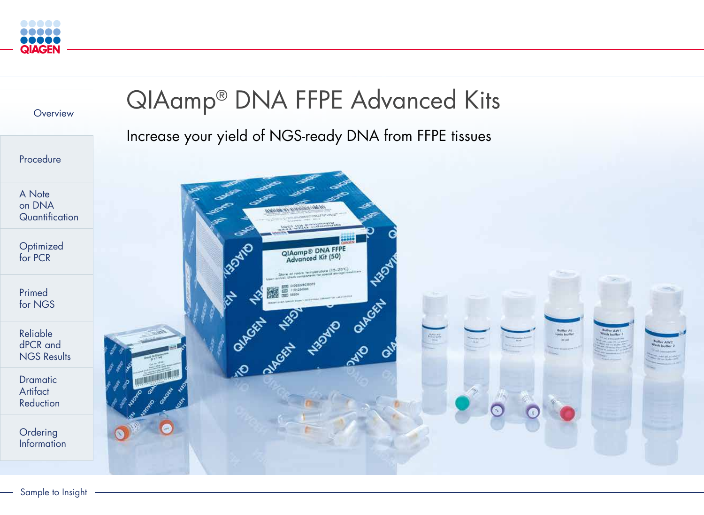

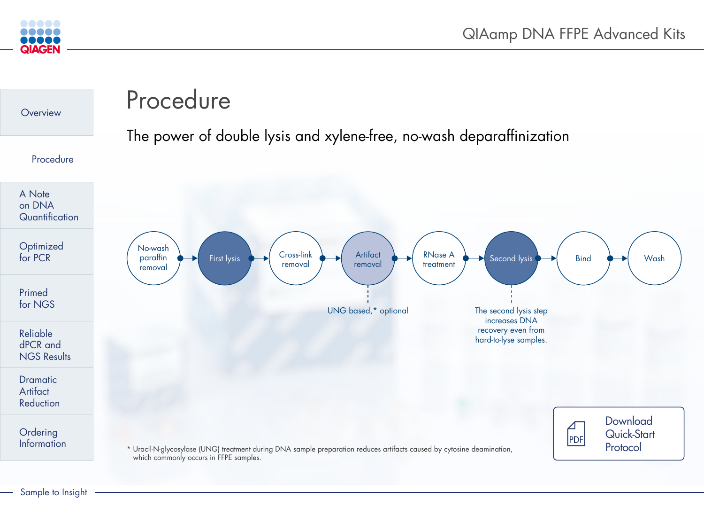

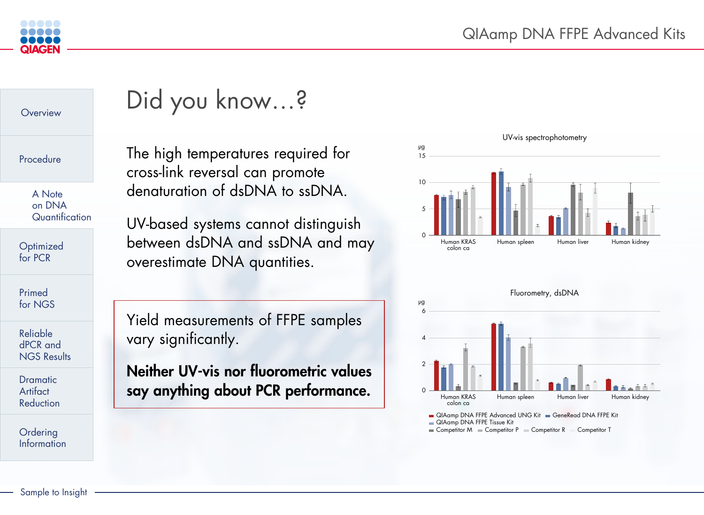



# Did you know…?

The high temperatures required for cross-link reversal can promote denaturation of dsDNA to ssDNA.

UV-based systems cannot distinguish between dsDNA and ssDNA and may overestimate DNA quantities.



Yield measurements of FFPE samples vary significantly.

Neither UV-vis nor fluorometric values say anything about PCR performance.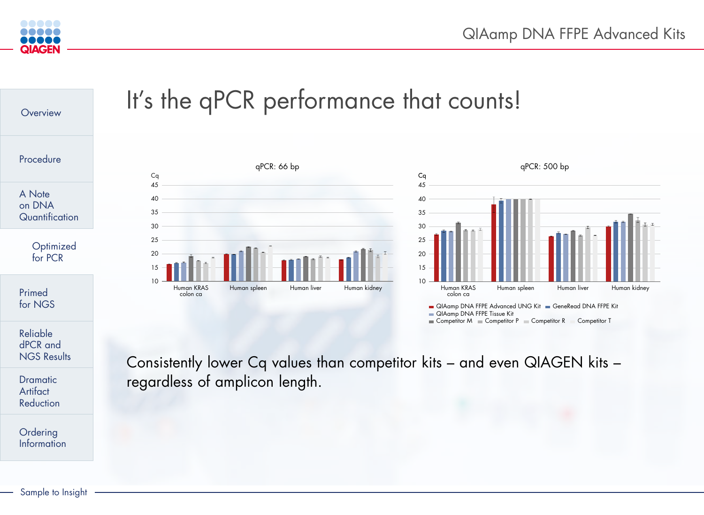**Information** 



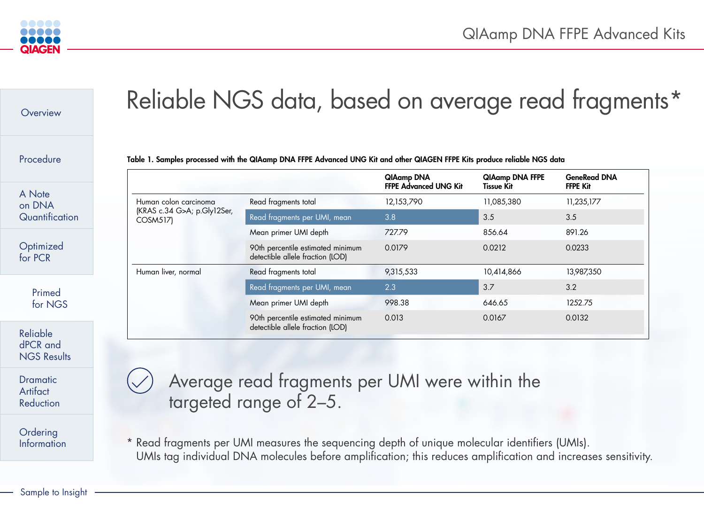

| Overview                                   |                             | Reliable NGS data, based on average read fragmen                                                                                                                                                                |                                                   |                                             |                                        |
|--------------------------------------------|-----------------------------|-----------------------------------------------------------------------------------------------------------------------------------------------------------------------------------------------------------------|---------------------------------------------------|---------------------------------------------|----------------------------------------|
| Procedure                                  |                             | Table 1. Samples processed with the QIAamp DNA FFPE Advanced UNG Kit and other QIAGEN FFPE Kits produce reliable NGS data                                                                                       | <b>QIAamp DNA</b><br><b>FFPE Advanced UNG Kit</b> | <b>QIAamp DNA FFPE</b><br><b>Tissue Kit</b> | <b>GeneRead DNA</b><br><b>FFPE Kit</b> |
| A Note                                     | Human colon carcinoma       | Read fragments total                                                                                                                                                                                            | 12,153,790                                        | 11,085,380                                  | 11,235,177                             |
| on DNA<br>Quantification                   | (KRAS c.34 G>A; p.Gly12Ser, | Read fragments per UMI, mean                                                                                                                                                                                    | 3.8                                               | 3.5                                         | 3.5                                    |
| Optimized<br>for PCR                       | <b>COSM517)</b>             | Mean primer UMI depth                                                                                                                                                                                           | 727.79                                            | 856.64                                      | 891.26                                 |
|                                            |                             | 90th percentile estimated minimum<br>detectible allele fraction (LOD)                                                                                                                                           | 0.0179                                            | 0.0212                                      | 0.0233                                 |
|                                            | Human liver, normal         | Read fragments total                                                                                                                                                                                            | 9,315,533                                         | 10,414,866                                  | 13,987,350                             |
| Primed<br>for NGS                          |                             | Read fragments per UMI, mean                                                                                                                                                                                    | 2.3                                               | 3.7                                         | 3.2                                    |
|                                            |                             | Mean primer UMI depth                                                                                                                                                                                           | 998.38                                            | 646.65                                      | 1252.75                                |
|                                            |                             | 90th percentile estimated minimum<br>detectible allele fraction (LOD)                                                                                                                                           | 0.013                                             | 0.0167                                      | 0.0132                                 |
| Reliable<br>dPCR and<br><b>NGS Results</b> |                             |                                                                                                                                                                                                                 |                                                   |                                             |                                        |
| <b>Dramatic</b><br>Artifact<br>Reduction   |                             | Average read fragments per UMI were within the<br>targeted range of 2-5.                                                                                                                                        |                                                   |                                             |                                        |
| Ordering<br>Information                    |                             | * Read fragments per UMI measures the sequencing depth of unique molecular identifiers (UMIs).<br>UMIs tag individual DNA molecules before amplification; this reduces amplification and increases sensitivity. |                                                   |                                             |                                        |



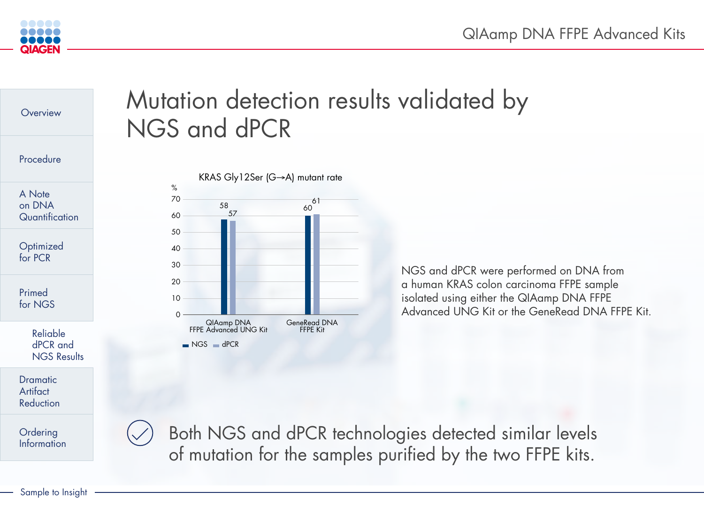## QIAamp DNA FFPE Advanced Kits





NGS and dPCR were performed on DNA from a human KRAS colon carcinoma FFPE sample isolated using either the QIAamp DNA FFPE Advanced UNG Kit or the GeneRead DNA FFPE Kit.

 Both NGS and dPCR technologies detected similar levels of mutation for the samples purified by the two FFPE kits.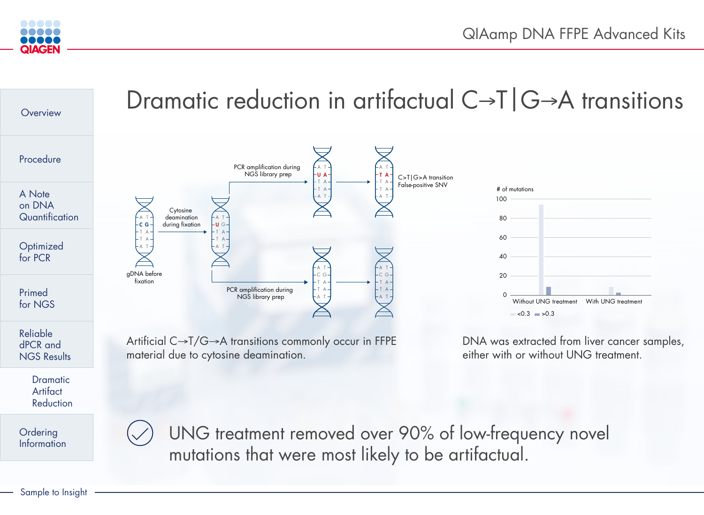| reatment |  |
|----------|--|
|----------|--|